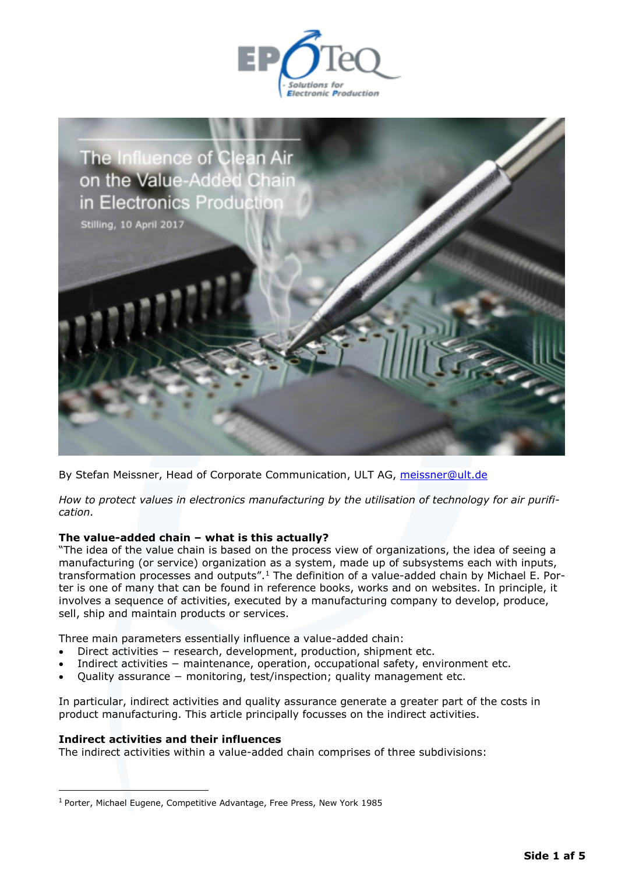



By Stefan Meissner, Head of Corporate Communication, ULT AG, [meissner@ult.de](mailto:meissner@ult.de) 

*How to protect values in electronics manufacturing by the utilisation of technology for air purification.* 

## **The value-added chain – what is this actually?**

"The idea of the value chain is based on the process view of organizations, the idea of seeing a manufacturing (or service) organization as a system, made up of subsystems each with inputs, transformation processes and outputs".<sup>1</sup> The definition of a value-added chain by Michael E. Porter is one of many that can be found in reference books, works and on websites. In principle, it involves a sequence of activities, executed by a manufacturing company to develop, produce, sell, ship and maintain products or services.

Three main parameters essentially influence a value-added chain:

- Direct activities − research, development, production, shipment etc.
- Indirect activities − maintenance, operation, occupational safety, environment etc.
- Quality assurance monitoring, test/inspection; quality management etc.

In particular, indirect activities and quality assurance generate a greater part of the costs in product manufacturing. This article principally focusses on the indirect activities.

### **Indirect activities and their influences**

 $\overline{a}$ 

The indirect activities within a value-added chain comprises of three subdivisions:

<sup>&</sup>lt;sup>1</sup> Porter, Michael Eugene, Competitive Advantage, Free Press, New York 1985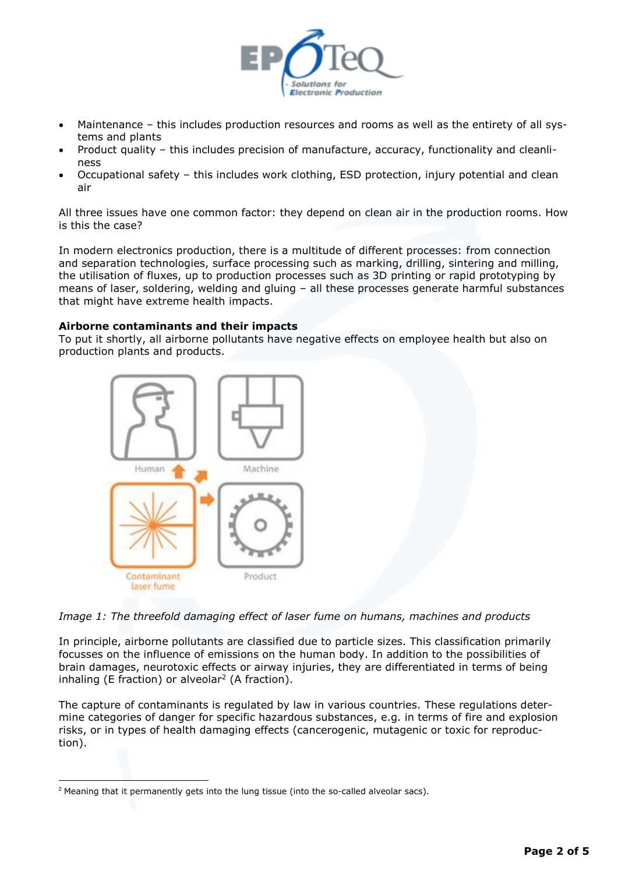

- Maintenance this includes production resources and rooms as well as the entirety of all systems and plants
- Product quality this includes precision of manufacture, accuracy, functionality and cleanliness
- Occupational safety this includes work clothing, ESD protection, injury potential and clean air

All three issues have one common factor: they depend on clean air in the production rooms. How is this the case?

In modern electronics production, there is a multitude of different processes: from connection and separation technologies, surface processing such as marking, drilling, sintering and milling, the utilisation of fluxes, up to production processes such as 3D printing or rapid prototyping by means of laser, soldering, welding and gluing – all these processes generate harmful substances that might have extreme health impacts.

## **Airborne contaminants and their impacts**

To put it shortly, all airborne pollutants have negative effects on employee health but also on production plants and products.



*Image 1: The threefold damaging effect of laser fume on humans, machines and products* 

In principle, airborne pollutants are classified due to particle sizes. This classification primarily focusses on the influence of emissions on the human body. In addition to the possibilities of brain damages, neurotoxic effects or airway injuries, they are differentiated in terms of being inhaling (E fraction) or alveolar<sup>2</sup> (A fraction).

The capture of contaminants is regulated by law in various countries. These regulations determine categories of danger for specific hazardous substances, e.g. in terms of fire and explosion risks, or in types of health damaging effects (cancerogenic, mutagenic or toxic for reproduction).

 $\overline{a}$ 

<sup>&</sup>lt;sup>2</sup> Meaning that it permanently gets into the lung tissue (into the so-called alveolar sacs).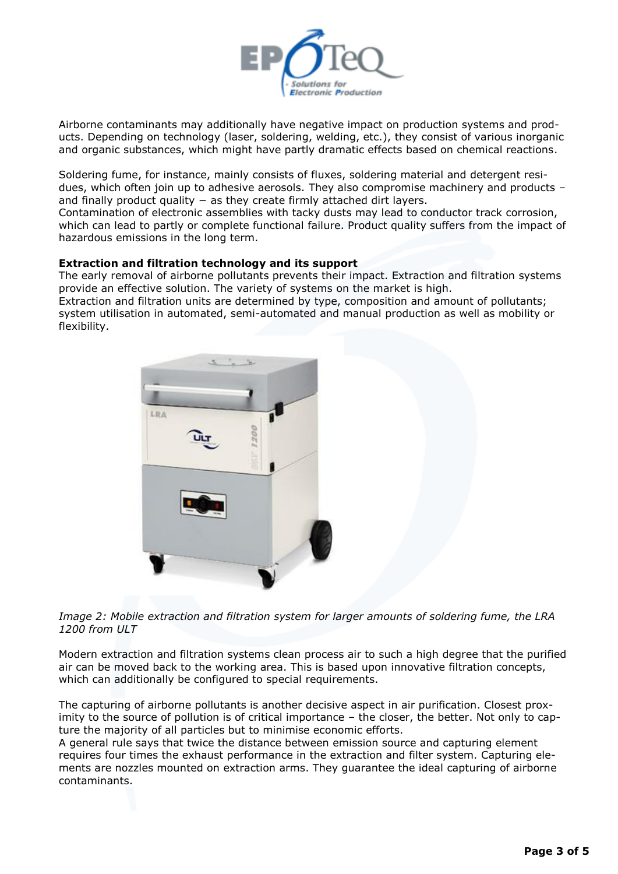

Airborne contaminants may additionally have negative impact on production systems and products. Depending on technology (laser, soldering, welding, etc.), they consist of various inorganic and organic substances, which might have partly dramatic effects based on chemical reactions.

Soldering fume, for instance, mainly consists of fluxes, soldering material and detergent residues, which often join up to adhesive aerosols. They also compromise machinery and products – and finally product quality − as they create firmly attached dirt layers.

Contamination of electronic assemblies with tacky dusts may lead to conductor track corrosion, which can lead to partly or complete functional failure. Product quality suffers from the impact of hazardous emissions in the long term.

# **Extraction and filtration technology and its support**

The early removal of airborne pollutants prevents their impact. Extraction and filtration systems provide an effective solution. The variety of systems on the market is high. Extraction and filtration units are determined by type, composition and amount of pollutants;

system utilisation in automated, semi-automated and manual production as well as mobility or flexibility.



*Image 2: Mobile extraction and filtration system for larger amounts of soldering fume, the LRA 1200 from ULT* 

Modern extraction and filtration systems clean process air to such a high degree that the purified air can be moved back to the working area. This is based upon innovative filtration concepts, which can additionally be configured to special requirements.

The capturing of airborne pollutants is another decisive aspect in air purification. Closest proximity to the source of pollution is of critical importance – the closer, the better. Not only to capture the majority of all particles but to minimise economic efforts.

A general rule says that twice the distance between emission source and capturing element requires four times the exhaust performance in the extraction and filter system. Capturing elements are nozzles mounted on extraction arms. They guarantee the ideal capturing of airborne contaminants.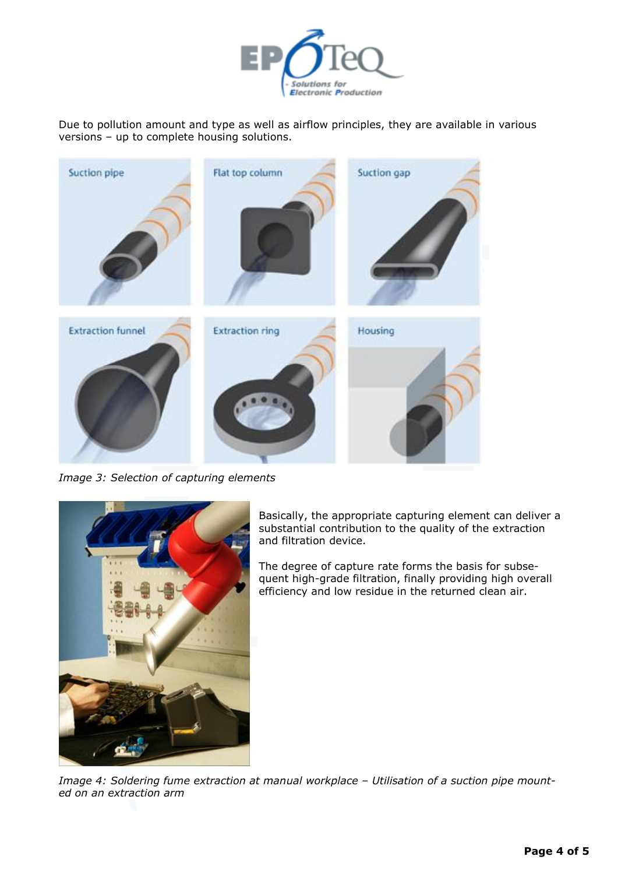

Due to pollution amount and type as well as airflow principles, they are available in various versions – up to complete housing solutions.



*Image 3: Selection of capturing elements* 



Basically, the appropriate capturing element can deliver a substantial contribution to the quality of the extraction and filtration device.

The degree of capture rate forms the basis for subsequent high-grade filtration, finally providing high overall efficiency and low residue in the returned clean air.

Image 4: Soldering fume extraction at manual workplace - Utilisation of a suction pipe mount*ed on an extraction arm*